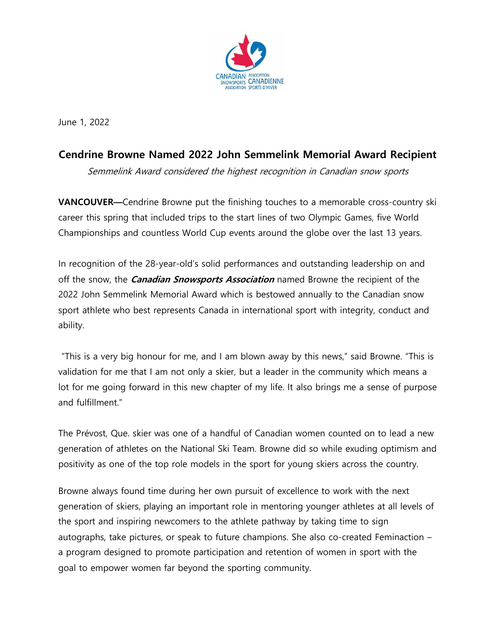

June 1, 2022

## **Cendrine Browne Named 2022 John Semmelink Memorial Award Recipient**

Semmelink Award considered the highest recognition in Canadian snow sports

**VANCOUVER—**Cendrine Browne put the finishing touches to a memorable cross-country ski career this spring that included trips to the start lines of two Olympic Games, five World Championships and countless World Cup events around the globe over the last 13 years.

In recognition of the 28-year-old's solid performances and outstanding leadership on and off the snow, the **Canadian Snowsports Association** named Browne the recipient of the 2022 John Semmelink Memorial Award which is bestowed annually to the Canadian snow sport athlete who best represents Canada in international sport with integrity, conduct and ability.

"This is a very big honour for me, and I am blown away by this news," said Browne. "This is validation for me that I am not only a skier, but a leader in the community which means a lot for me going forward in this new chapter of my life. It also brings me a sense of purpose and fulfillment."

The Prévost, Que. skier was one of a handful of Canadian women counted on to lead a new generation of athletes on the National Ski Team. Browne did so while exuding optimism and positivity as one of the top role models in the sport for young skiers across the country.

Browne always found time during her own pursuit of excellence to work with the next generation of skiers, playing an important role in mentoring younger athletes at all levels of the sport and inspiring newcomers to the athlete pathway by taking time to sign autographs, take pictures, or speak to future champions. She also co-created Feminaction – a program designed to promote participation and retention of women in sport with the goal to empower women far beyond the sporting community.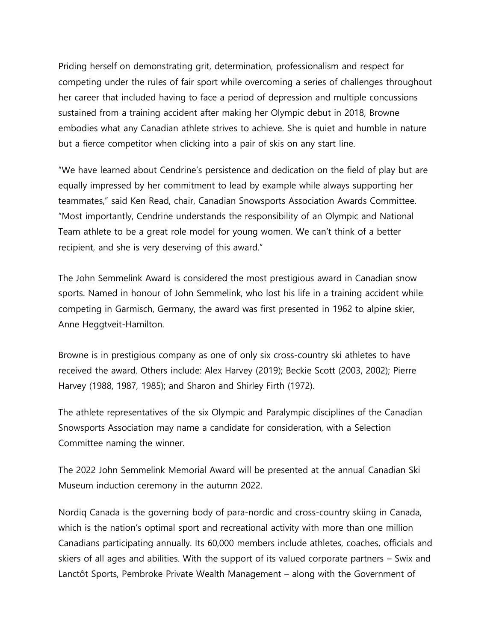Priding herself on demonstrating grit, determination, professionalism and respect for competing under the rules of fair sport while overcoming a series of challenges throughout her career that included having to face a period of depression and multiple concussions sustained from a training accident after making her Olympic debut in 2018, Browne embodies what any Canadian athlete strives to achieve. She is quiet and humble in nature but a fierce competitor when clicking into a pair of skis on any start line.

"We have learned about Cendrine's persistence and dedication on the field of play but are equally impressed by her commitment to lead by example while always supporting her teammates," said Ken Read, chair, Canadian Snowsports Association Awards Committee. "Most importantly, Cendrine understands the responsibility of an Olympic and National Team athlete to be a great role model for young women. We can't think of a better recipient, and she is very deserving of this award."

The John Semmelink Award is considered the most prestigious award in Canadian snow sports. Named in honour of John Semmelink, who lost his life in a training accident while competing in Garmisch, Germany, the award was first presented in 1962 to alpine skier, Anne Heggtveit-Hamilton.

Browne is in prestigious company as one of only six cross-country ski athletes to have received the award. Others include: Alex Harvey (2019); Beckie Scott (2003, 2002); Pierre Harvey (1988, 1987, 1985); and Sharon and Shirley Firth (1972).

The athlete representatives of the six Olympic and Paralympic disciplines of the Canadian Snowsports Association may name a candidate for consideration, with a Selection Committee naming the winner.

The 2022 John Semmelink Memorial Award will be presented at the annual Canadian Ski Museum induction ceremony in the autumn 2022.

Nordiq Canada is the governing body of para-nordic and cross-country skiing in Canada, which is the nation's optimal sport and recreational activity with more than one million Canadians participating annually. Its 60,000 members include athletes, coaches, officials and skiers of all ages and abilities. With the support of its valued corporate partners – Swix and Lanctôt Sports, Pembroke Private Wealth Management – along with the Government of